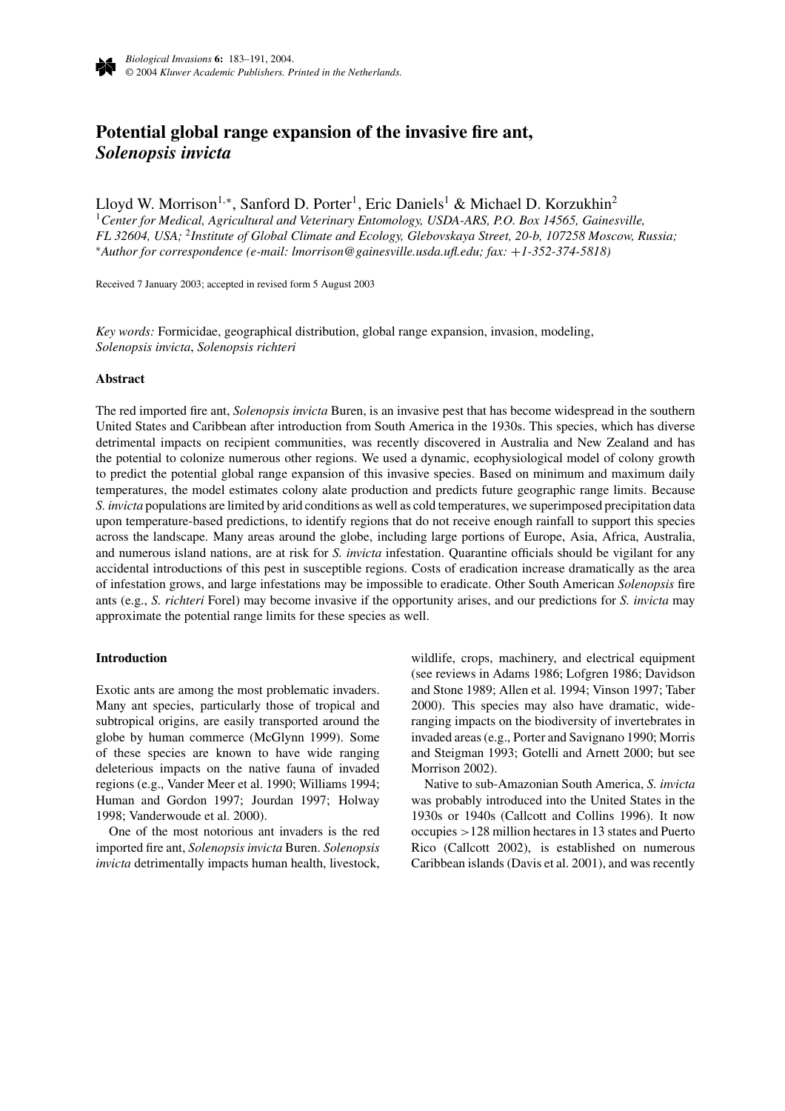

# **Potential global range expansion of the invasive fire ant,** *Solenopsis invicta*

Lloyd W. Morrison<sup>1,∗</sup>, Sanford D. Porter<sup>1</sup>, Eric Daniels<sup>1</sup> & Michael D. Korzukhin<sup>2</sup> <sup>1</sup>*Center for Medical, Agricultural and Veterinary Entomology, USDA-ARS, P.O. Box 14565, Gainesville, FL 32604, USA;* <sup>2</sup>*Institute of Global Climate and Ecology, Glebovskaya Street, 20-b, 107258 Moscow, Russia;* <sup>∗</sup>*Author for correspondence (e-mail: lmorrison@gainesville.usda.ufl.edu; fax:* +*1-352-374-5818)*

Received 7 January 2003; accepted in revised form 5 August 2003

*Key words:* Formicidae, geographical distribution, global range expansion, invasion, modeling, *Solenopsis invicta*, *Solenopsis richteri*

# **Abstract**

The red imported fire ant, *Solenopsis invicta* Buren, is an invasive pest that has become widespread in the southern United States and Caribbean after introduction from South America in the 1930s. This species, which has diverse detrimental impacts on recipient communities, was recently discovered in Australia and New Zealand and has the potential to colonize numerous other regions. We used a dynamic, ecophysiological model of colony growth to predict the potential global range expansion of this invasive species. Based on minimum and maximum daily temperatures, the model estimates colony alate production and predicts future geographic range limits. Because *S. invicta* populations are limited by arid conditions as well as cold temperatures, we superimposed precipitation data upon temperature-based predictions, to identify regions that do not receive enough rainfall to support this species across the landscape. Many areas around the globe, including large portions of Europe, Asia, Africa, Australia, and numerous island nations, are at risk for *S. invicta* infestation. Quarantine officials should be vigilant for any accidental introductions of this pest in susceptible regions. Costs of eradication increase dramatically as the area of infestation grows, and large infestations may be impossible to eradicate. Other South American *Solenopsis* fire ants (e.g., *S. richteri* Forel) may become invasive if the opportunity arises, and our predictions for *S. invicta* may approximate the potential range limits for these species as well.

## **Introduction**

Exotic ants are among the most problematic invaders. Many ant species, particularly those of tropical and subtropical origins, are easily transported around the globe by human commerce (McGlynn 1999). Some of these species are known to have wide ranging deleterious impacts on the native fauna of invaded regions (e.g., Vander Meer et al. 1990; Williams 1994; Human and Gordon 1997; Jourdan 1997; Holway 1998; Vanderwoude et al. 2000).

One of the most notorious ant invaders is the red imported fire ant, *Solenopsis invicta* Buren. *Solenopsis invicta* detrimentally impacts human health, livestock,

wildlife, crops, machinery, and electrical equipment (see reviews in Adams 1986; Lofgren 1986; Davidson and Stone 1989; Allen et al. 1994; Vinson 1997; Taber 2000). This species may also have dramatic, wideranging impacts on the biodiversity of invertebrates in invaded areas (e.g., Porter and Savignano 1990; Morris and Steigman 1993; Gotelli and Arnett 2000; but see Morrison 2002).

Native to sub-Amazonian South America, *S. invicta* was probably introduced into the United States in the 1930s or 1940s (Callcott and Collins 1996). It now occupies *>*128 million hectares in 13 states and Puerto Rico (Callcott 2002), is established on numerous Caribbean islands (Davis et al. 2001), and was recently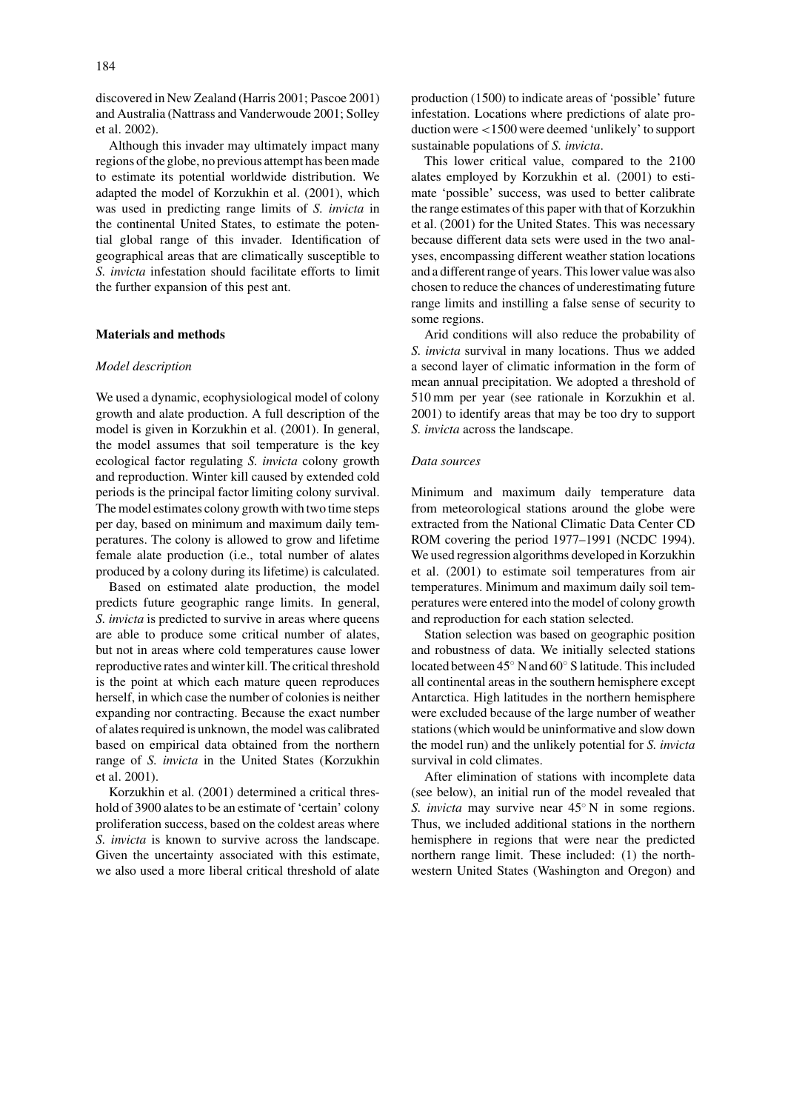discovered in New Zealand (Harris 2001; Pascoe 2001) and Australia (Nattrass and Vanderwoude 2001; Solley et al. 2002).

Although this invader may ultimately impact many regions of the globe, no previous attempt has been made to estimate its potential worldwide distribution. We adapted the model of Korzukhin et al. (2001), which was used in predicting range limits of *S. invicta* in the continental United States, to estimate the potential global range of this invader. Identification of geographical areas that are climatically susceptible to *S. invicta* infestation should facilitate efforts to limit the further expansion of this pest ant.

# **Materials and methods**

#### *Model description*

We used a dynamic, ecophysiological model of colony growth and alate production. A full description of the model is given in Korzukhin et al. (2001). In general, the model assumes that soil temperature is the key ecological factor regulating *S. invicta* colony growth and reproduction. Winter kill caused by extended cold periods is the principal factor limiting colony survival. The model estimates colony growth with two time steps per day, based on minimum and maximum daily temperatures. The colony is allowed to grow and lifetime female alate production (i.e., total number of alates produced by a colony during its lifetime) is calculated.

Based on estimated alate production, the model predicts future geographic range limits. In general, *S. invicta* is predicted to survive in areas where queens are able to produce some critical number of alates, but not in areas where cold temperatures cause lower reproductive rates and winter kill. The critical threshold is the point at which each mature queen reproduces herself, in which case the number of colonies is neither expanding nor contracting. Because the exact number of alates required is unknown, the model was calibrated based on empirical data obtained from the northern range of *S. invicta* in the United States (Korzukhin et al. 2001).

Korzukhin et al. (2001) determined a critical threshold of 3900 alates to be an estimate of 'certain' colony proliferation success, based on the coldest areas where *S. invicta* is known to survive across the landscape. Given the uncertainty associated with this estimate, we also used a more liberal critical threshold of alate production (1500) to indicate areas of 'possible' future infestation. Locations where predictions of alate production were *<*1500 were deemed 'unlikely' to support sustainable populations of *S. invicta*.

This lower critical value, compared to the 2100 alates employed by Korzukhin et al. (2001) to estimate 'possible' success, was used to better calibrate the range estimates of this paper with that of Korzukhin et al. (2001) for the United States. This was necessary because different data sets were used in the two analyses, encompassing different weather station locations and a different range of years. This lower value was also chosen to reduce the chances of underestimating future range limits and instilling a false sense of security to some regions.

Arid conditions will also reduce the probability of *S. invicta* survival in many locations. Thus we added a second layer of climatic information in the form of mean annual precipitation. We adopted a threshold of 510 mm per year (see rationale in Korzukhin et al. 2001) to identify areas that may be too dry to support *S. invicta* across the landscape.

## *Data sources*

Minimum and maximum daily temperature data from meteorological stations around the globe were extracted from the National Climatic Data Center CD ROM covering the period 1977–1991 (NCDC 1994). We used regression algorithms developed in Korzukhin et al. (2001) to estimate soil temperatures from air temperatures. Minimum and maximum daily soil temperatures were entered into the model of colony growth and reproduction for each station selected.

Station selection was based on geographic position and robustness of data. We initially selected stations located between 45◦ N and 60◦ S latitude. This included all continental areas in the southern hemisphere except Antarctica. High latitudes in the northern hemisphere were excluded because of the large number of weather stations (which would be uninformative and slow down the model run) and the unlikely potential for *S. invicta* survival in cold climates.

After elimination of stations with incomplete data (see below), an initial run of the model revealed that *S. invicta* may survive near 45◦ N in some regions. Thus, we included additional stations in the northern hemisphere in regions that were near the predicted northern range limit. These included: (1) the northwestern United States (Washington and Oregon) and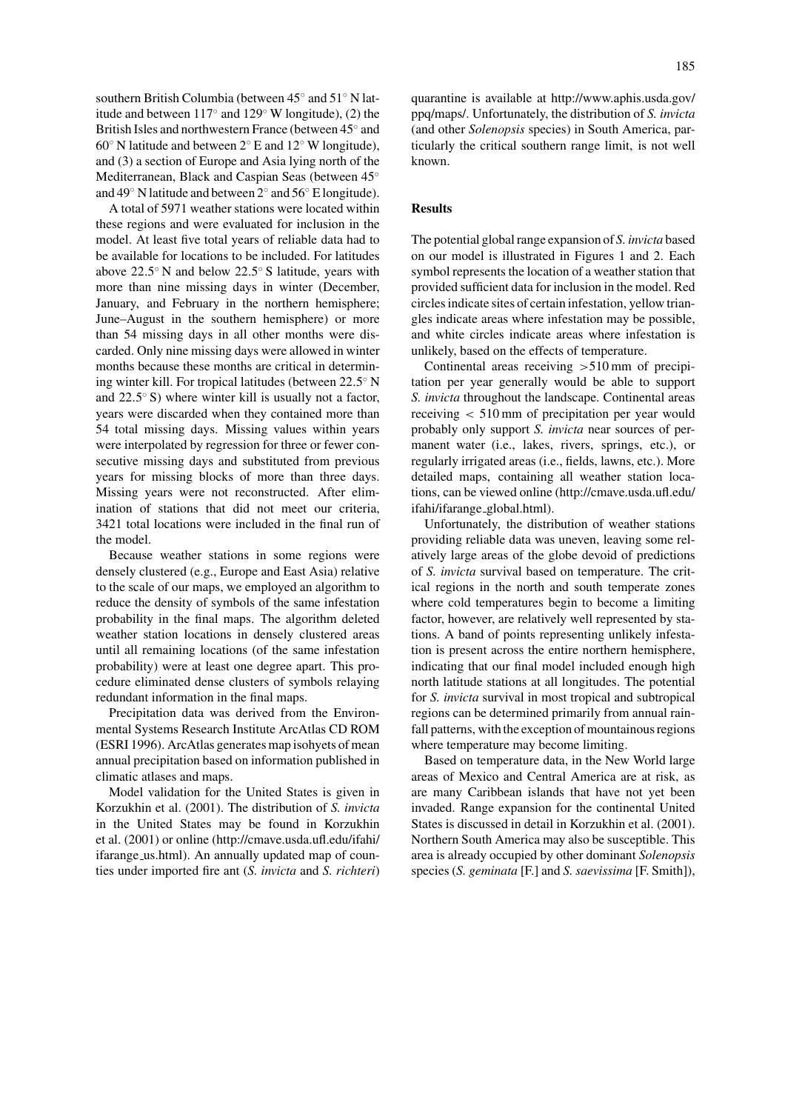southern British Columbia (between 45◦ and 51◦ N latitude and between 117◦ and 129◦ W longitude), (2) the British Isles and northwestern France (between 45◦ and  $60°$  N latitude and between  $2°$  E and  $12°$  W longitude), and (3) a section of Europe and Asia lying north of the Mediterranean, Black and Caspian Seas (between 45◦ and 49◦ N latitude and between 2◦ and 56◦ E longitude).

A total of 5971 weather stations were located within these regions and were evaluated for inclusion in the model. At least five total years of reliable data had to be available for locations to be included. For latitudes above 22*.*5◦ N and below 22*.*5◦ S latitude, years with more than nine missing days in winter (December, January, and February in the northern hemisphere; June–August in the southern hemisphere) or more than 54 missing days in all other months were discarded. Only nine missing days were allowed in winter months because these months are critical in determining winter kill. For tropical latitudes (between 22*.*5◦ N and 22*.*5◦ S) where winter kill is usually not a factor, years were discarded when they contained more than 54 total missing days. Missing values within years were interpolated by regression for three or fewer consecutive missing days and substituted from previous years for missing blocks of more than three days. Missing years were not reconstructed. After elimination of stations that did not meet our criteria, 3421 total locations were included in the final run of the model.

Because weather stations in some regions were densely clustered (e.g., Europe and East Asia) relative to the scale of our maps, we employed an algorithm to reduce the density of symbols of the same infestation probability in the final maps. The algorithm deleted weather station locations in densely clustered areas until all remaining locations (of the same infestation probability) were at least one degree apart. This procedure eliminated dense clusters of symbols relaying redundant information in the final maps.

Precipitation data was derived from the Environmental Systems Research Institute ArcAtlas CD ROM (ESRI 1996). ArcAtlas generates map isohyets of mean annual precipitation based on information published in climatic atlases and maps.

Model validation for the United States is given in Korzukhin et al. (2001). The distribution of *S. invicta* in the United States may be found in Korzukhin et al. (2001) or online (http://cmave.usda.ufl.edu/ifahi/ ifarange us.html). An annually updated map of counties under imported fire ant (*S. invicta* and *S. richteri*) quarantine is available at http://www.aphis.usda.gov/ ppq/maps/. Unfortunately, the distribution of *S. invicta* (and other *Solenopsis* species) in South America, particularly the critical southern range limit, is not well known.

## **Results**

The potential global range expansion of *S. invicta* based on our model is illustrated in Figures 1 and 2. Each symbol represents the location of a weather station that provided sufficient data for inclusion in the model. Red circles indicate sites of certain infestation, yellow triangles indicate areas where infestation may be possible, and white circles indicate areas where infestation is unlikely, based on the effects of temperature.

Continental areas receiving *>*510 mm of precipitation per year generally would be able to support *S. invicta* throughout the landscape. Continental areas receiving *<* 510 mm of precipitation per year would probably only support *S. invicta* near sources of permanent water (i.e., lakes, rivers, springs, etc.), or regularly irrigated areas (i.e., fields, lawns, etc.). More detailed maps, containing all weather station locations, can be viewed online (http://cmave.usda.ufl.edu/ ifahi/ifarange global.html).

Unfortunately, the distribution of weather stations providing reliable data was uneven, leaving some relatively large areas of the globe devoid of predictions of *S. invicta* survival based on temperature. The critical regions in the north and south temperate zones where cold temperatures begin to become a limiting factor, however, are relatively well represented by stations. A band of points representing unlikely infestation is present across the entire northern hemisphere, indicating that our final model included enough high north latitude stations at all longitudes. The potential for *S. invicta* survival in most tropical and subtropical regions can be determined primarily from annual rainfall patterns, with the exception of mountainous regions where temperature may become limiting.

Based on temperature data, in the New World large areas of Mexico and Central America are at risk, as are many Caribbean islands that have not yet been invaded. Range expansion for the continental United States is discussed in detail in Korzukhin et al. (2001). Northern South America may also be susceptible. This area is already occupied by other dominant *Solenopsis* species (*S. geminata* [F.] and *S. saevissima* [F. Smith]),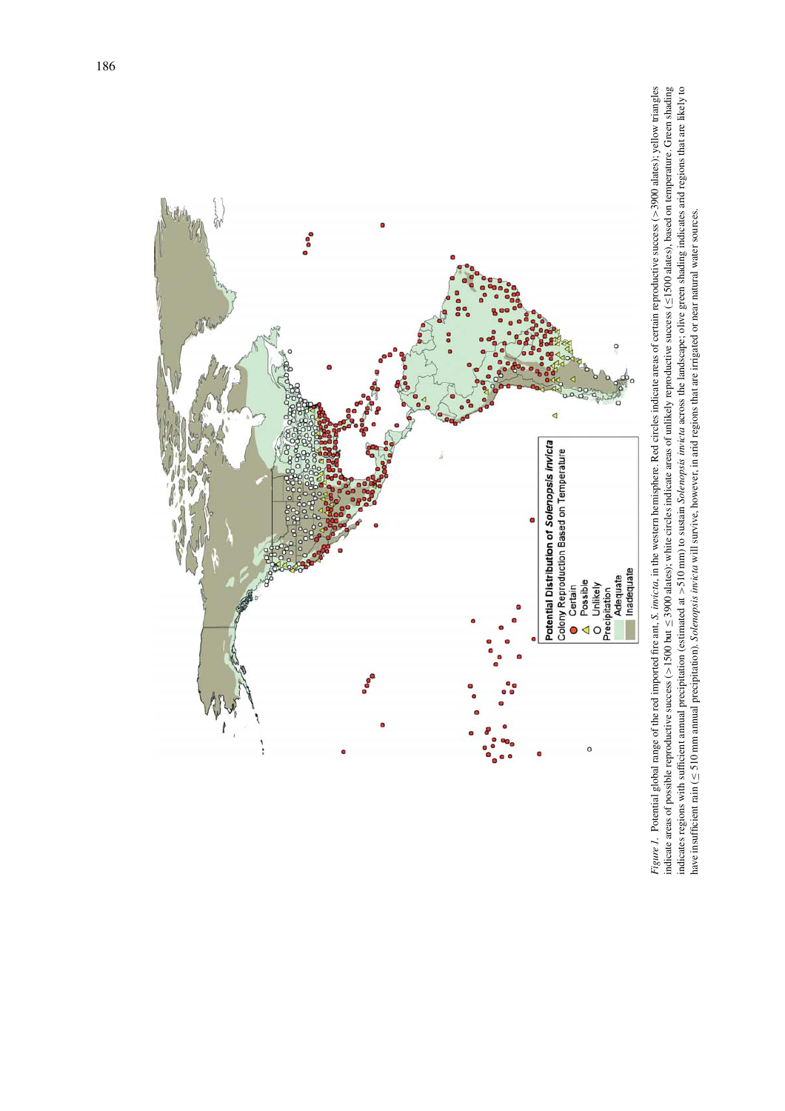indicate areas of possible reproductive success (>1500 but  $\leq$  3900 alates); white circles indicate areas of unlikely reproductive success ( $\leq$ 1500 alates), based on temperature. Green shading indicates regions with s Figure 1. Potential global range of the red imported fire ant, S. invicta, in the western hemisphere. Red circles indicate areas of certain reproductive success (>3900 alates); yellow triangles *Figure 1.* Potential global range of the red imported fire ant, *S. invicto*, in the western hemisphere. Red circles indicate areas of certain reproductive success (>3900 alates); yellow triangles indicate areas of possible reproductive success (*>*1500 but ≤ 3900 alates); white circles indicate areas of unlikely reproductive success (≤1500 alates), based on temperature. Green shading indicates regions with sufficient annual precipitation (estimated at *>*510 mm) to sustain *Solenopsis invicta* across the landscape; olive green shading indicates arid regions that are likely to have insufficient rain (≤ 510 mm annual precipitation). *Solenopsis invicta* will survive, however, in arid regions that are irrigated or near natural water sources.

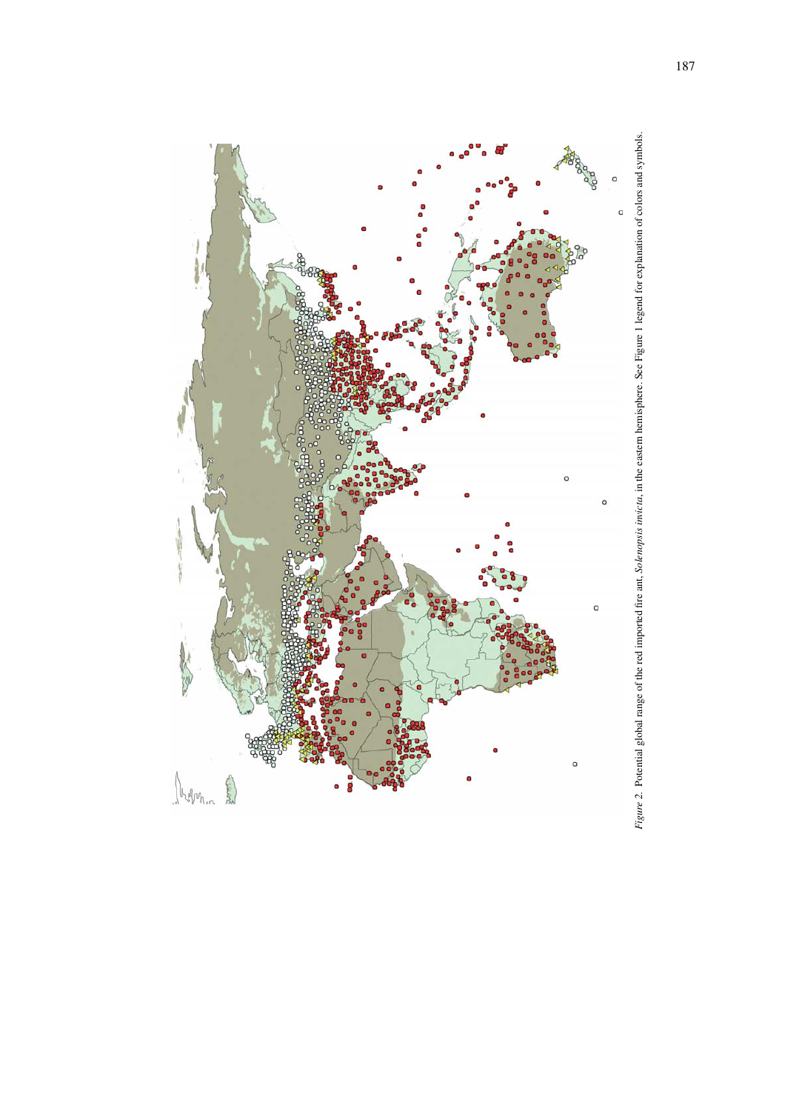

Figure 2. Potential global range of the red imported fire ant, Solenopsis invicta, in the eastern hemisphere. See Figure 1 legend for explanation of colors and symbols. *Figure 2.* Potential global range of the red imported fire ant, *Solenopsis invicta*, in the eastern hemisphere. See Figure 1 legend for explanation of colors and symbols.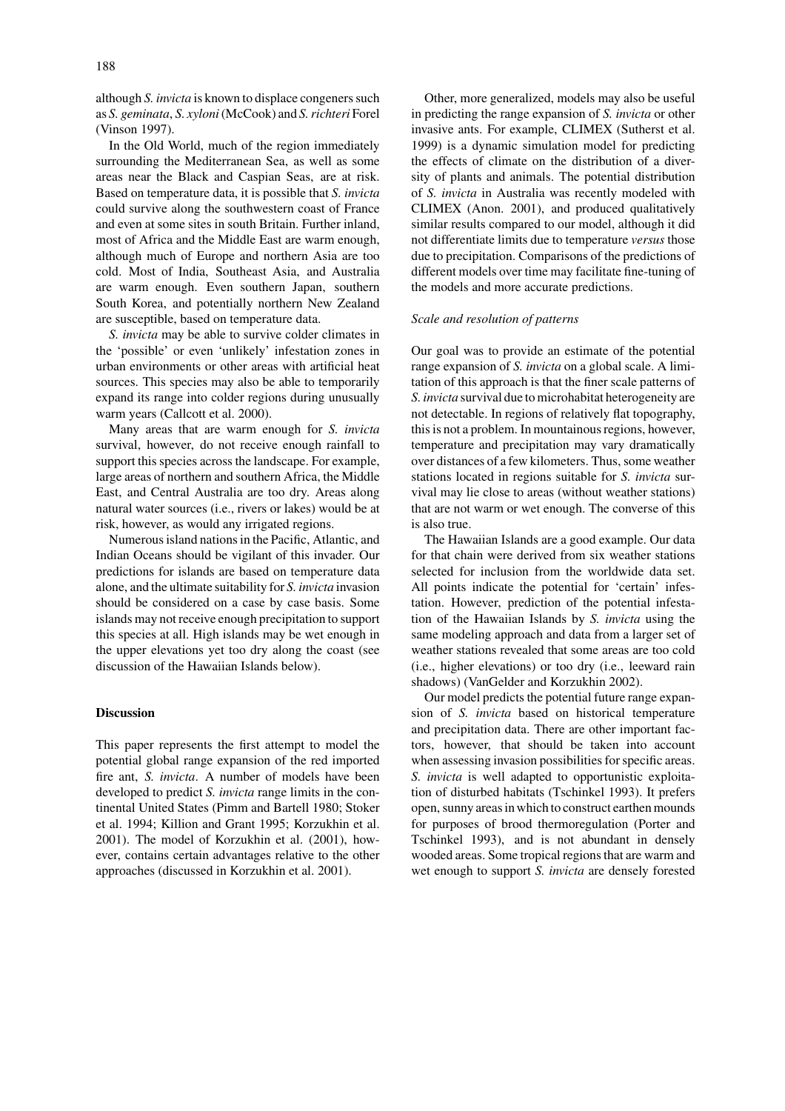although *S. invicta* is known to displace congeners such as *S. geminata*, *S. xyloni*(McCook) and *S. richteri* Forel (Vinson 1997).

In the Old World, much of the region immediately surrounding the Mediterranean Sea, as well as some areas near the Black and Caspian Seas, are at risk. Based on temperature data, it is possible that *S. invicta* could survive along the southwestern coast of France and even at some sites in south Britain. Further inland, most of Africa and the Middle East are warm enough, although much of Europe and northern Asia are too cold. Most of India, Southeast Asia, and Australia are warm enough. Even southern Japan, southern South Korea, and potentially northern New Zealand are susceptible, based on temperature data.

*S. invicta* may be able to survive colder climates in the 'possible' or even 'unlikely' infestation zones in urban environments or other areas with artificial heat sources. This species may also be able to temporarily expand its range into colder regions during unusually warm years (Callcott et al. 2000).

Many areas that are warm enough for *S. invicta* survival, however, do not receive enough rainfall to support this species across the landscape. For example, large areas of northern and southern Africa, the Middle East, and Central Australia are too dry. Areas along natural water sources (i.e., rivers or lakes) would be at risk, however, as would any irrigated regions.

Numerous island nations in the Pacific, Atlantic, and Indian Oceans should be vigilant of this invader. Our predictions for islands are based on temperature data alone, and the ultimate suitability for *S. invicta* invasion should be considered on a case by case basis. Some islands may not receive enough precipitation to support this species at all. High islands may be wet enough in the upper elevations yet too dry along the coast (see discussion of the Hawaiian Islands below).

# **Discussion**

This paper represents the first attempt to model the potential global range expansion of the red imported fire ant, *S. invicta*. A number of models have been developed to predict *S. invicta* range limits in the continental United States (Pimm and Bartell 1980; Stoker et al. 1994; Killion and Grant 1995; Korzukhin et al. 2001). The model of Korzukhin et al. (2001), however, contains certain advantages relative to the other approaches (discussed in Korzukhin et al. 2001).

Other, more generalized, models may also be useful in predicting the range expansion of *S. invicta* or other invasive ants. For example, CLIMEX (Sutherst et al. 1999) is a dynamic simulation model for predicting the effects of climate on the distribution of a diversity of plants and animals. The potential distribution of *S. invicta* in Australia was recently modeled with CLIMEX (Anon. 2001), and produced qualitatively similar results compared to our model, although it did not differentiate limits due to temperature *versus* those due to precipitation. Comparisons of the predictions of different models over time may facilitate fine-tuning of the models and more accurate predictions.

# *Scale and resolution of patterns*

Our goal was to provide an estimate of the potential range expansion of *S. invicta* on a global scale. A limitation of this approach is that the finer scale patterns of *S. invicta* survival due to microhabitat heterogeneity are not detectable. In regions of relatively flat topography, this is not a problem. In mountainous regions, however, temperature and precipitation may vary dramatically over distances of a few kilometers. Thus, some weather stations located in regions suitable for *S. invicta* survival may lie close to areas (without weather stations) that are not warm or wet enough. The converse of this is also true.

The Hawaiian Islands are a good example. Our data for that chain were derived from six weather stations selected for inclusion from the worldwide data set. All points indicate the potential for 'certain' infestation. However, prediction of the potential infestation of the Hawaiian Islands by *S. invicta* using the same modeling approach and data from a larger set of weather stations revealed that some areas are too cold (i.e., higher elevations) or too dry (i.e., leeward rain shadows) (VanGelder and Korzukhin 2002).

Our model predicts the potential future range expansion of *S. invicta* based on historical temperature and precipitation data. There are other important factors, however, that should be taken into account when assessing invasion possibilities for specific areas. *S. invicta* is well adapted to opportunistic exploitation of disturbed habitats (Tschinkel 1993). It prefers open, sunny areas in which to construct earthen mounds for purposes of brood thermoregulation (Porter and Tschinkel 1993), and is not abundant in densely wooded areas. Some tropical regions that are warm and wet enough to support *S. invicta* are densely forested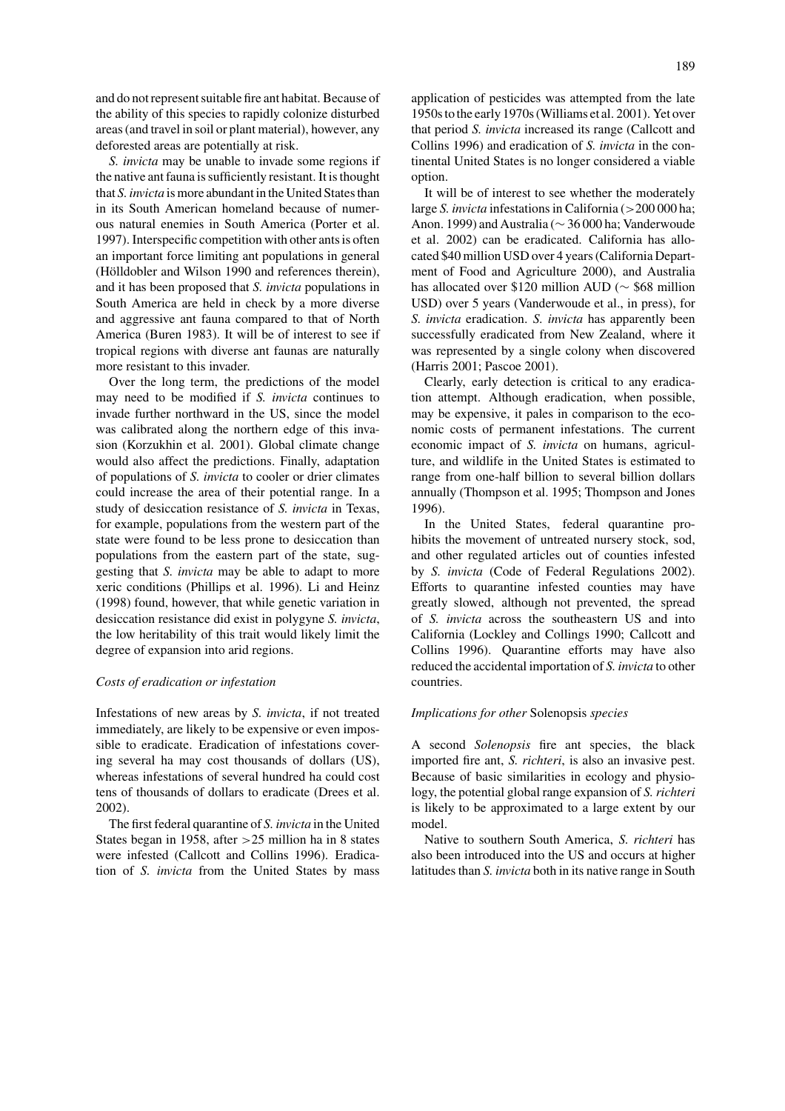and do not represent suitable fire ant habitat. Because of the ability of this species to rapidly colonize disturbed areas (and travel in soil or plant material), however, any

deforested areas are potentially at risk. *S. invicta* may be unable to invade some regions if the native ant fauna is sufficiently resistant. It is thought that *S. invicta* is more abundant in the United States than in its South American homeland because of numerous natural enemies in South America (Porter et al. 1997). Interspecific competition with other ants is often an important force limiting ant populations in general (Hölldobler and Wilson 1990 and references therein), and it has been proposed that *S. invicta* populations in South America are held in check by a more diverse and aggressive ant fauna compared to that of North America (Buren 1983). It will be of interest to see if tropical regions with diverse ant faunas are naturally more resistant to this invader.

Over the long term, the predictions of the model may need to be modified if *S. invicta* continues to invade further northward in the US, since the model was calibrated along the northern edge of this invasion (Korzukhin et al. 2001). Global climate change would also affect the predictions. Finally, adaptation of populations of *S. invicta* to cooler or drier climates could increase the area of their potential range. In a study of desiccation resistance of *S. invicta* in Texas, for example, populations from the western part of the state were found to be less prone to desiccation than populations from the eastern part of the state, suggesting that *S. invicta* may be able to adapt to more xeric conditions (Phillips et al. 1996). Li and Heinz (1998) found, however, that while genetic variation in desiccation resistance did exist in polygyne *S. invicta*, the low heritability of this trait would likely limit the degree of expansion into arid regions.

# *Costs of eradication or infestation*

Infestations of new areas by *S. invicta*, if not treated immediately, are likely to be expensive or even impossible to eradicate. Eradication of infestations covering several ha may cost thousands of dollars (US), whereas infestations of several hundred ha could cost tens of thousands of dollars to eradicate (Drees et al. 2002).

The first federal quarantine of *S. invicta* in the United States began in 1958, after *>*25 million ha in 8 states were infested (Callcott and Collins 1996). Eradication of *S. invicta* from the United States by mass

application of pesticides was attempted from the late 1950s to the early 1970s (Williams et al. 2001). Yet over that period *S. invicta* increased its range (Callcott and Collins 1996) and eradication of *S. invicta* in the continental United States is no longer considered a viable option.

It will be of interest to see whether the moderately large *S. invicta* infestations in California (*>*200 000 ha; Anon. 1999) and Australia (∼ 36 000 ha; Vanderwoude et al. 2002) can be eradicated. California has allocated \$40 million USD over 4 years (California Department of Food and Agriculture 2000), and Australia has allocated over \$120 million AUD (∼ \$68 million USD) over 5 years (Vanderwoude et al., in press), for *S. invicta* eradication. *S. invicta* has apparently been successfully eradicated from New Zealand, where it was represented by a single colony when discovered (Harris 2001; Pascoe 2001).

Clearly, early detection is critical to any eradication attempt. Although eradication, when possible, may be expensive, it pales in comparison to the economic costs of permanent infestations. The current economic impact of *S. invicta* on humans, agriculture, and wildlife in the United States is estimated to range from one-half billion to several billion dollars annually (Thompson et al. 1995; Thompson and Jones 1996).

In the United States, federal quarantine prohibits the movement of untreated nursery stock, sod, and other regulated articles out of counties infested by *S. invicta* (Code of Federal Regulations 2002). Efforts to quarantine infested counties may have greatly slowed, although not prevented, the spread of *S. invicta* across the southeastern US and into California (Lockley and Collings 1990; Callcott and Collins 1996). Quarantine efforts may have also reduced the accidental importation of *S. invicta* to other countries.

## *Implications for other* Solenopsis *species*

A second *Solenopsis* fire ant species, the black imported fire ant, *S. richteri*, is also an invasive pest. Because of basic similarities in ecology and physiology, the potential global range expansion of *S. richteri* is likely to be approximated to a large extent by our model.

Native to southern South America, *S. richteri* has also been introduced into the US and occurs at higher latitudes than *S. invicta* both in its native range in South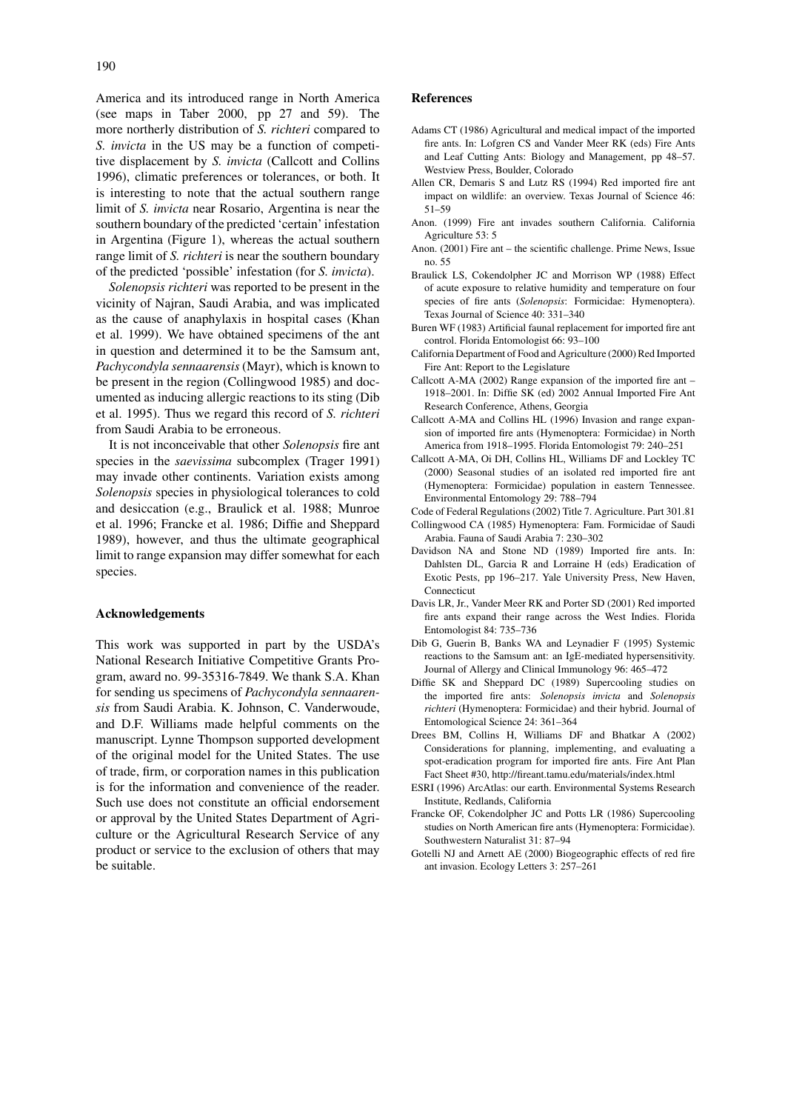America and its introduced range in North America (see maps in Taber 2000, pp 27 and 59). The more northerly distribution of *S. richteri* compared to *S. invicta* in the US may be a function of competitive displacement by *S. invicta* (Callcott and Collins 1996), climatic preferences or tolerances, or both. It is interesting to note that the actual southern range limit of *S. invicta* near Rosario, Argentina is near the southern boundary of the predicted 'certain' infestation in Argentina (Figure 1), whereas the actual southern range limit of *S. richteri* is near the southern boundary of the predicted 'possible' infestation (for *S. invicta*).

*Solenopsis richteri* was reported to be present in the vicinity of Najran, Saudi Arabia, and was implicated as the cause of anaphylaxis in hospital cases (Khan et al. 1999). We have obtained specimens of the ant in question and determined it to be the Samsum ant, *Pachycondyla sennaarensis*(Mayr), which is known to be present in the region (Collingwood 1985) and documented as inducing allergic reactions to its sting (Dib et al. 1995). Thus we regard this record of *S. richteri* from Saudi Arabia to be erroneous.

It is not inconceivable that other *Solenopsis* fire ant species in the *saevissima* subcomplex (Trager 1991) may invade other continents. Variation exists among *Solenopsis* species in physiological tolerances to cold and desiccation (e.g., Braulick et al. 1988; Munroe et al. 1996; Francke et al. 1986; Diffie and Sheppard 1989), however, and thus the ultimate geographical limit to range expansion may differ somewhat for each species.

## **Acknowledgements**

This work was supported in part by the USDA's National Research Initiative Competitive Grants Program, award no. 99-35316-7849. We thank S.A. Khan for sending us specimens of *Pachycondyla sennaarensis* from Saudi Arabia. K. Johnson, C. Vanderwoude, and D.F. Williams made helpful comments on the manuscript. Lynne Thompson supported development of the original model for the United States. The use of trade, firm, or corporation names in this publication is for the information and convenience of the reader. Such use does not constitute an official endorsement or approval by the United States Department of Agriculture or the Agricultural Research Service of any product or service to the exclusion of others that may be suitable.

# **References**

- Adams CT (1986) Agricultural and medical impact of the imported fire ants. In: Lofgren CS and Vander Meer RK (eds) Fire Ants and Leaf Cutting Ants: Biology and Management, pp 48–57. Westview Press, Boulder, Colorado
- Allen CR, Demaris S and Lutz RS (1994) Red imported fire ant impact on wildlife: an overview. Texas Journal of Science 46: 51–59
- Anon. (1999) Fire ant invades southern California. California Agriculture 53: 5
- Anon. (2001) Fire ant the scientific challenge. Prime News, Issue no. 55
- Braulick LS, Cokendolpher JC and Morrison WP (1988) Effect of acute exposure to relative humidity and temperature on four species of fire ants (*Solenopsis*: Formicidae: Hymenoptera). Texas Journal of Science 40: 331–340
- Buren WF (1983) Artificial faunal replacement for imported fire ant control. Florida Entomologist 66: 93–100
- California Department of Food and Agriculture (2000) Red Imported Fire Ant: Report to the Legislature
- Callcott A-MA (2002) Range expansion of the imported fire ant 1918–2001. In: Diffie SK (ed) 2002 Annual Imported Fire Ant Research Conference, Athens, Georgia
- Callcott A-MA and Collins HL (1996) Invasion and range expansion of imported fire ants (Hymenoptera: Formicidae) in North America from 1918–1995. Florida Entomologist 79: 240–251
- Callcott A-MA, Oi DH, Collins HL, Williams DF and Lockley TC (2000) Seasonal studies of an isolated red imported fire ant (Hymenoptera: Formicidae) population in eastern Tennessee. Environmental Entomology 29: 788–794
- Code of Federal Regulations (2002) Title 7. Agriculture. Part 301.81
- Collingwood CA (1985) Hymenoptera: Fam. Formicidae of Saudi Arabia. Fauna of Saudi Arabia 7: 230–302
- Davidson NA and Stone ND (1989) Imported fire ants. In: Dahlsten DL, Garcia R and Lorraine H (eds) Eradication of Exotic Pests, pp 196–217. Yale University Press, New Haven, Connecticut
- Davis LR, Jr., Vander Meer RK and Porter SD (2001) Red imported fire ants expand their range across the West Indies. Florida Entomologist 84: 735–736
- Dib G, Guerin B, Banks WA and Leynadier F (1995) Systemic reactions to the Samsum ant: an IgE-mediated hypersensitivity. Journal of Allergy and Clinical Immunology 96: 465–472
- Diffie SK and Sheppard DC (1989) Supercooling studies on the imported fire ants: *Solenopsis invicta* and *Solenopsis richteri* (Hymenoptera: Formicidae) and their hybrid. Journal of Entomological Science 24: 361–364
- Drees BM, Collins H, Williams DF and Bhatkar A (2002) Considerations for planning, implementing, and evaluating a spot-eradication program for imported fire ants. Fire Ant Plan Fact Sheet #30, http://fireant.tamu.edu/materials/index.html
- ESRI (1996) ArcAtlas: our earth. Environmental Systems Research Institute, Redlands, California
- Francke OF, Cokendolpher JC and Potts LR (1986) Supercooling studies on North American fire ants (Hymenoptera: Formicidae). Southwestern Naturalist 31: 87–94
- Gotelli NJ and Arnett AE (2000) Biogeographic effects of red fire ant invasion. Ecology Letters 3: 257–261